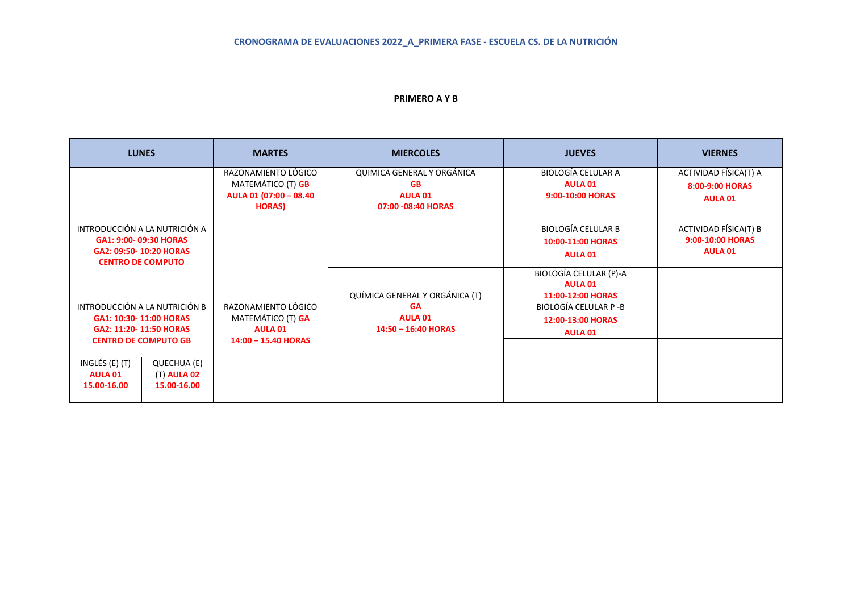#### **PRIMERO A Y B**

| <b>LUNES</b>                                                                                                     | <b>MARTES</b>                                                                      | <b>MIERCOLES</b>                                                                | <b>JUEVES</b>                                                    | <b>VIERNES</b>                                              |
|------------------------------------------------------------------------------------------------------------------|------------------------------------------------------------------------------------|---------------------------------------------------------------------------------|------------------------------------------------------------------|-------------------------------------------------------------|
|                                                                                                                  | RAZONAMIENTO LÓGICO<br>MATEMÁTICO (T) GB<br>AULA 01 (07:00 - 08.40<br><b>HORAS</b> | QUIMICA GENERAL Y ORGÁNICA<br><b>GB</b><br><b>AULA 01</b><br>07:00 -08:40 HORAS | <b>BIOLOGÍA CELULAR A</b><br><b>AULA 01</b><br>9:00-10:00 HORAS  | ACTIVIDAD FÍSICA(T) A<br>8:00-9:00 HORAS<br><b>AULA 01</b>  |
| INTRODUCCIÓN A LA NUTRICIÓN A<br>GA1: 9:00- 09:30 HORAS<br>GA2: 09:50-10:20 HORAS<br><b>CENTRO DE COMPUTO</b>    |                                                                                    |                                                                                 | <b>BIOLOGÍA CELULAR B</b><br>10:00-11:00 HORAS<br><b>AULA 01</b> | ACTIVIDAD FÍSICA(T) B<br>9:00-10:00 HORAS<br><b>AULA 01</b> |
|                                                                                                                  |                                                                                    | QUÍMICA GENERAL Y ORGÁNICA (T)                                                  | BIOLOGÍA CELULAR (P)-A<br><b>AULA 01</b><br>11:00-12:00 HORAS    |                                                             |
| INTRODUCCIÓN A LA NUTRICIÓN B<br>GA1: 10:30-11:00 HORAS<br>GA2: 11:20-11:50 HORAS<br><b>CENTRO DE COMPUTO GB</b> | RAZONAMIENTO LÓGICO<br>MATEMÁTICO (T) GA<br><b>AULA 01</b><br>14:00 - 15.40 HORAS  | <b>GA</b><br><b>AULA 01</b><br>14:50 - 16:40 HORAS                              | BIOLOGÍA CELULAR P -B<br>12:00-13:00 HORAS<br><b>AULA 01</b>     |                                                             |
| INGLÉS (E) (T)<br>QUECHUA (E)<br>(T) <b>AULA 02</b><br><b>AULA 01</b><br>15.00-16.00<br>15.00-16.00              |                                                                                    |                                                                                 |                                                                  |                                                             |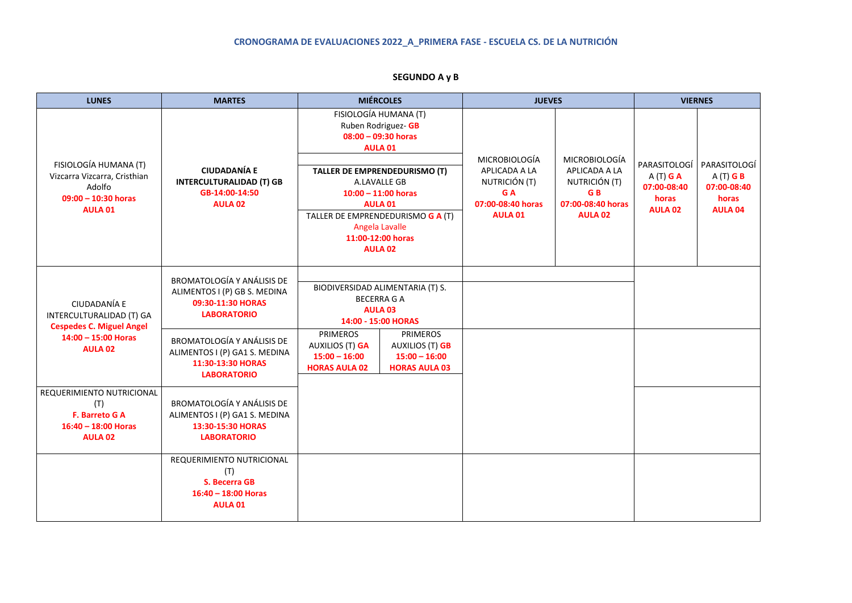# **CRONOGRAMA DE EVALUACIONES 2022\_A\_PRIMERA FASE - ESCUELA CS. DE LA NUTRICIÓN**

| <b>LUNES</b>                                                                                                  | <b>MARTES</b>                                                                                                                                                                                                                 | <b>MIÉRCOLES</b>                                                                                                                                                                                                                                                           |  | <b>JUEVES</b>                                                                                        |                                                                                                          | <b>VIERNES</b>                                                       |                                                                      |
|---------------------------------------------------------------------------------------------------------------|-------------------------------------------------------------------------------------------------------------------------------------------------------------------------------------------------------------------------------|----------------------------------------------------------------------------------------------------------------------------------------------------------------------------------------------------------------------------------------------------------------------------|--|------------------------------------------------------------------------------------------------------|----------------------------------------------------------------------------------------------------------|----------------------------------------------------------------------|----------------------------------------------------------------------|
| FISIOLOGÍA HUMANA (T)<br>Vizcarra Vizcarra, Cristhian<br>Adolfo<br>$09:00 - 10:30$ horas<br>AULA 01           | <b>CIUDADANÍA E</b><br><b>INTERCULTURALIDAD (T) GB</b><br>GB-14:00-14:50<br><b>AULA 02</b>                                                                                                                                    | FISIOLOGÍA HUMANA (T)<br>Ruben Rodriguez- GB<br>$08:00 - 09:30$ horas<br>AULA 01<br>TALLER DE EMPRENDEDURISMO (T)<br>A.LAVALLE GB<br>$10:00 - 11:00$ horas<br><b>AULA 01</b><br>TALLER DE EMPRENDEDURISMO G A (T)<br>Angela Lavalle<br>11:00-12:00 horas<br><b>AULA 02</b> |  | <b>MICROBIOLOGÍA</b><br>APLICADA A LA<br>NUTRICIÓN (T)<br>G A<br>07:00-08:40 horas<br><b>AULA 01</b> | <b>MICROBIOLOGÍA</b><br>APLICADA A LA<br>NUTRICIÓN (T)<br>G <sub>B</sub><br>07:00-08:40 horas<br>AULA 02 | PARASITOLOGÍ<br>$A(T)$ G A<br>07:00-08:40<br>horas<br><b>AULA 02</b> | PARASITOLOGÍ<br>$A(T)$ G B<br>07:00-08:40<br>horas<br><b>AULA 04</b> |
| CIUDADANÍA E<br>INTERCULTURALIDAD (T) GA<br><b>Cespedes C. Miguel Angel</b><br>14:00 - 15:00 Horas<br>AULA 02 | <b>BROMATOLOGÍA Y ANÁLISIS DE</b><br>ALIMENTOS I (P) GB S. MEDINA<br>09:30-11:30 HORAS<br><b>LABORATORIO</b><br><b>BROMATOLOGÍA Y ANÁLISIS DE</b><br>ALIMENTOS I (P) GA1 S. MEDINA<br>11:30-13:30 HORAS<br><b>LABORATORIO</b> | BIODIVERSIDAD ALIMENTARIA (T) S.<br><b>BECERRA G A</b><br>AULA <sub>03</sub><br>14:00 - 15:00 HORAS<br><b>PRIMEROS</b><br><b>PRIMEROS</b><br>AUXILIOS (T) GA<br>AUXILIOS (T) GB<br>$15:00 - 16:00$<br>$15:00 - 16:00$<br><b>HORAS AULA 02</b><br><b>HORAS AULA 03</b>      |  |                                                                                                      |                                                                                                          |                                                                      |                                                                      |
| REQUERIMIENTO NUTRICIONAL<br>(T)<br>F. Barreto G A<br>$16:40 - 18:00$ Horas<br><b>AULA 02</b>                 | <b>BROMATOLOGÍA Y ANÁLISIS DE</b><br>ALIMENTOS I (P) GA1 S. MEDINA<br>13:30-15:30 HORAS<br><b>LABORATORIO</b>                                                                                                                 |                                                                                                                                                                                                                                                                            |  |                                                                                                      |                                                                                                          |                                                                      |                                                                      |
|                                                                                                               | REQUERIMIENTO NUTRICIONAL<br>(T)<br>S. Becerra GB<br>$16:40 - 18:00$ Horas<br><b>AULA 01</b>                                                                                                                                  |                                                                                                                                                                                                                                                                            |  |                                                                                                      |                                                                                                          |                                                                      |                                                                      |

# **SEGUNDO A y B**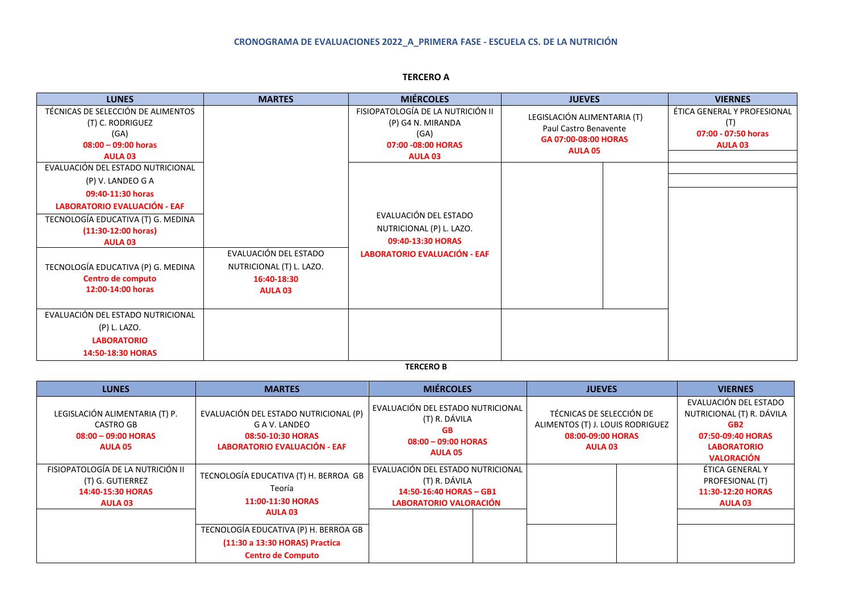# **CRONOGRAMA DE EVALUACIONES 2022\_A\_PRIMERA FASE - ESCUELA CS. DE LA NUTRICIÓN**

| <b>LUNES</b>                                                                                                  | <b>MARTES</b>                 | <b>MIÉRCOLES</b>                                                                                       | <b>JUEVES</b>                                                                                  | <b>VIERNES</b>                                                                         |  |
|---------------------------------------------------------------------------------------------------------------|-------------------------------|--------------------------------------------------------------------------------------------------------|------------------------------------------------------------------------------------------------|----------------------------------------------------------------------------------------|--|
| TÉCNICAS DE SELECCIÓN DE ALIMENTOS<br>(T) C. RODRIGUEZ<br>(GA)<br>$08:00 - 09:00$ horas<br>AULA <sub>03</sub> |                               | FISIOPATOLOGÍA DE LA NUTRICIÓN II<br>(P) G4 N. MIRANDA<br>(GA)<br>07:00 -08:00 HORAS<br><b>AULA 03</b> | LEGISLACIÓN ALIMENTARIA (T)<br>Paul Castro Benavente<br>GA 07:00-08:00 HORAS<br><b>AULA 05</b> | ÉTICA GENERAL Y PROFESIONAL<br>$(\mathsf{T})$<br>07:00 - 07:50 horas<br><b>AULA 03</b> |  |
| EVALUACIÓN DEL ESTADO NUTRICIONAL                                                                             |                               |                                                                                                        |                                                                                                |                                                                                        |  |
| (P) V. LANDEO G A                                                                                             |                               |                                                                                                        |                                                                                                |                                                                                        |  |
| 09:40-11:30 horas                                                                                             |                               |                                                                                                        |                                                                                                |                                                                                        |  |
| <b>LABORATORIO EVALUACIÓN - EAF</b>                                                                           |                               |                                                                                                        |                                                                                                |                                                                                        |  |
| TECNOLOGÍA EDUCATIVA (T) G. MEDINA                                                                            |                               | EVALUACIÓN DEL ESTADO                                                                                  |                                                                                                |                                                                                        |  |
| $(11:30-12:00$ horas)                                                                                         |                               | NUTRICIONAL (P) L. LAZO.                                                                               |                                                                                                |                                                                                        |  |
| <b>AULA 03</b>                                                                                                |                               | 09:40-13:30 HORAS                                                                                      |                                                                                                |                                                                                        |  |
|                                                                                                               | EVALUACIÓN DEL ESTADO         | <b>LABORATORIO EVALUACIÓN - EAF</b>                                                                    |                                                                                                |                                                                                        |  |
| TECNOLOGÍA EDUCATIVA (P) G. MEDINA<br>Centro de computo                                                       | NUTRICIONAL (T) L. LAZO.      |                                                                                                        |                                                                                                |                                                                                        |  |
| 12:00-14:00 horas                                                                                             | 16:40-18:30<br><b>AULA 03</b> |                                                                                                        |                                                                                                |                                                                                        |  |
|                                                                                                               |                               |                                                                                                        |                                                                                                |                                                                                        |  |
| EVALUACIÓN DEL ESTADO NUTRICIONAL                                                                             |                               |                                                                                                        |                                                                                                |                                                                                        |  |
| (P) L. LAZO.                                                                                                  |                               |                                                                                                        |                                                                                                |                                                                                        |  |
| <b>LABORATORIO</b>                                                                                            |                               |                                                                                                        |                                                                                                |                                                                                        |  |
| 14:50-18:30 HORAS                                                                                             |                               |                                                                                                        |                                                                                                |                                                                                        |  |

**TERCERO A**

**TERCERO B**

| <b>LUNES</b>                                                                                 | <b>MARTES</b>                                                                                                                                                                                 | <b>MIÉRCOLES</b>                                                                                                                                                                                                  | <b>JUEVES</b> | <b>VIERNES</b>                                                                                                                        |  |
|----------------------------------------------------------------------------------------------|-----------------------------------------------------------------------------------------------------------------------------------------------------------------------------------------------|-------------------------------------------------------------------------------------------------------------------------------------------------------------------------------------------------------------------|---------------|---------------------------------------------------------------------------------------------------------------------------------------|--|
| LEGISLACIÓN ALIMENTARIA (T) P.<br>CASTRO GB<br>$08:00 - 09:00$ HORAS<br><b>AULA 05</b>       | EVALUACIÓN DEL ESTADO NUTRICIONAL (P)<br>G A V. LANDEO<br>08:50-10:30 HORAS<br><b>LABORATORIO EVALUACIÓN - EAF</b>                                                                            | EVALUACIÓN DEL ESTADO NUTRICIONAL<br>TÉCNICAS DE SELECCIÓN DE<br>(T) R. DÁVILA<br>ALIMENTOS (T) J. LOUIS RODRIGUEZ<br><b>GB</b><br>08:00-09:00 HORAS<br>$08:00 - 09:00$ HORAS<br><b>AULA 03</b><br><b>AULA 05</b> |               | EVALUACIÓN DEL ESTADO<br>NUTRICIONAL (T) R. DÁVILA<br>GB <sub>2</sub><br>07:50-09:40 HORAS<br><b>LABORATORIO</b><br><b>VALORACIÓN</b> |  |
| FISIOPATOLOGÍA DE LA NUTRICIÓN II<br>(T) G. GUTIERREZ<br>14:40-15:30 HORAS<br><b>AULA 03</b> | TECNOLOGÍA EDUCATIVA (T) H. BERROA GB<br>Teoría<br>11:00-11:30 HORAS<br><b>AULA 03</b><br>TECNOLOGÍA EDUCATIVA (P) H. BERROA GB<br>(11:30 a 13:30 HORAS) Practica<br><b>Centro de Computo</b> | EVALUACIÓN DEL ESTADO NUTRICIONAL<br>(T) R. DÁVILA<br>14:50-16:40 HORAS - GB1<br><b>LABORATORIO VALORACIÓN</b>                                                                                                    |               | ÉTICA GENERAL Y<br>PROFESIONAL (T)<br>11:30-12:20 HORAS<br><b>AULA 03</b>                                                             |  |